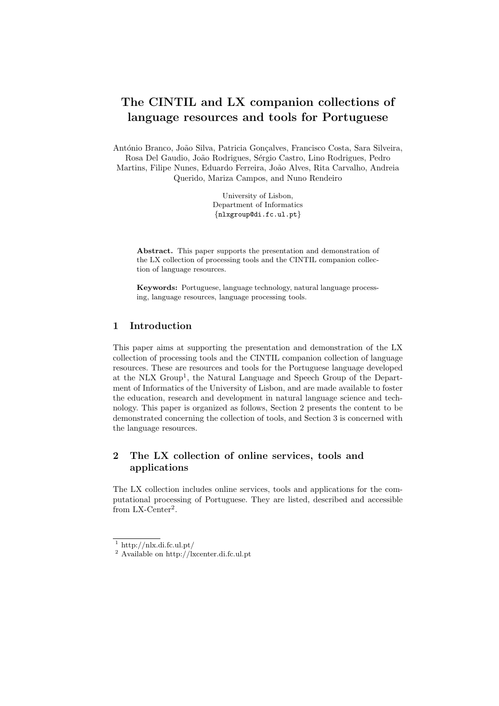# The CINTIL and LX companion collections of language resources and tools for Portuguese

António Branco, João Silva, Patricia Gonçalves, Francisco Costa, Sara Silveira, Rosa Del Gaudio, João Rodrigues, Sérgio Castro, Lino Rodrigues, Pedro Martins, Filipe Nunes, Eduardo Ferreira, Jo˜ao Alves, Rita Carvalho, Andreia Querido, Mariza Campos, and Nuno Rendeiro

> University of Lisbon, Department of Informatics {nlxgroup@di.fc.ul.pt}

Abstract. This paper supports the presentation and demonstration of the LX collection of processing tools and the CINTIL companion collection of language resources.

Keywords: Portuguese, language technology, natural language processing, language resources, language processing tools.

# 1 Introduction

This paper aims at supporting the presentation and demonstration of the LX collection of processing tools and the CINTIL companion collection of language resources. These are resources and tools for the Portuguese language developed at the NLX Group<sup>1</sup>, the Natural Language and Speech Group of the Department of Informatics of the University of Lisbon, and are made available to foster the education, research and development in natural language science and technology. This paper is organized as follows, Section 2 presents the content to be demonstrated concerning the collection of tools, and Section 3 is concerned with the language resources.

# 2 The LX collection of online services, tools and applications

The LX collection includes online services, tools and applications for the computational processing of Portuguese. They are listed, described and accessible from LX-Center<sup>2</sup>.

 $1$  http://nlx.di.fc.ul.pt/

<sup>2</sup> Available on http://lxcenter.di.fc.ul.pt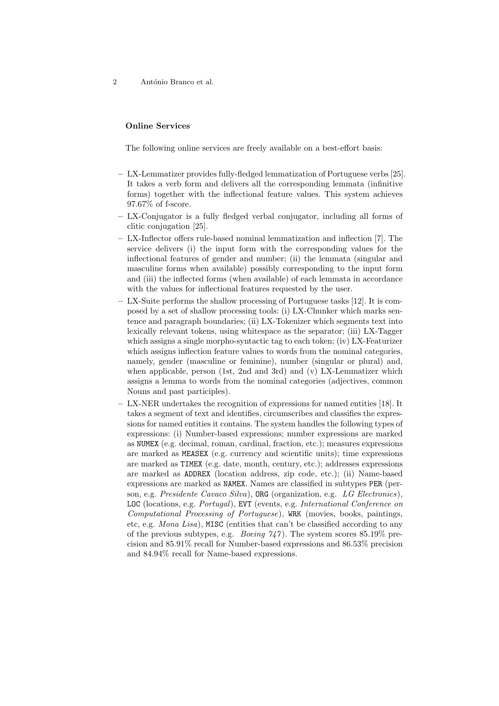2 António Branco et al.

#### Online Services

The following online services are freely available on a best-effort basis:

- LX-Lemmatizer provides fully-fledged lemmatization of Portuguese verbs [25]. It takes a verb form and delivers all the corresponding lemmata (infinitive forms) together with the inflectional feature values. This system achieves 97.67% of f-score.
- LX-Conjugator is a fully fledged verbal conjugator, including all forms of clitic conjugation [25].
- LX-Inflector offers rule-based nominal lemmatization and inflection [7]. The service delivers (i) the input form with the corresponding values for the inflectional features of gender and number; (ii) the lemmata (singular and masculine forms when available) possibly corresponding to the input form and (iii) the inflected forms (when available) of each lemmata in accordance with the values for inflectional features requested by the user.
- LX-Suite performs the shallow processing of Portuguese tasks [12]. It is composed by a set of shallow processing tools: (i) LX-Chunker which marks sentence and paragraph boundaries; (ii) LX-Tokenizer which segments text into lexically relevant tokens, using whitespace as the separator; (iii) LX-Tagger which assigns a single morpho-syntactic tag to each token; (iv) LX-Featurizer which assigns inflection feature values to words from the nominal categories, namely, gender (masculine or feminine), number (singular or plural) and, when applicable, person (1st, 2nd and 3rd) and (v) LX-Lemmatizer which assigns a lemma to words from the nominal categories (adjectives, common Nouns and past participles).
- LX-NER undertakes the recognition of expressions for named entities [18]. It takes a segment of text and identifies, circumscribes and classifies the expressions for named entities it contains. The system handles the following types of expressions: (i) Number-based expressions; number expressions are marked as NUMEX (e.g. decimal, roman, cardinal, fraction, etc.); measures expressions are marked as MEASEX (e.g. currency and scientific units); time expressions are marked as TIMEX (e.g. date, month, century, etc.); addresses expressions are marked as ADDREX (location address, zip code, etc.); (ii) Name-based expressions are marked as NAMEX. Names are classified in subtypes PER (person, e.g. Presidente Cavaco Silva), ORG (organization, e.g. LG Electronics), LOC (locations, e.g. Portugal), EVT (events, e.g. International Conference on Computational Processing of Portuguese), WRK (movies, books, paintings, etc, e.g. Mona Lisa), MISC (entities that can't be classified according to any of the previous subtypes, e.g. *Boeing*  $7/47$ . The system scores 85.19% precision and 85.91% recall for Number-based expressions and 86.53% precision and 84.94% recall for Name-based expressions.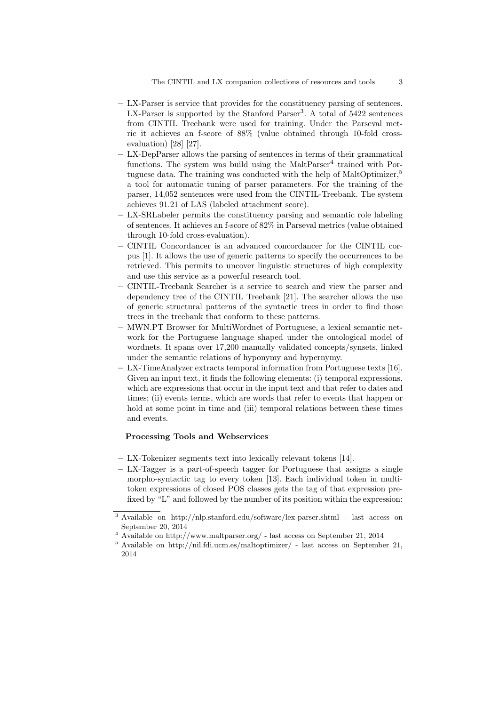- LX-Parser is service that provides for the constituency parsing of sentences. LX-Parser is supported by the Stanford Parser<sup>3</sup>. A total of 5422 sentences from CINTIL Treebank were used for training. Under the Parseval metric it achieves an f-score of 88% (value obtained through 10-fold crossevaluation) [28] [27].
- LX-DepParser allows the parsing of sentences in terms of their grammatical functions. The system was build using the MaltParser<sup>4</sup> trained with Portuguese data. The training was conducted with the help of MaltOptimizer,<sup>5</sup> a tool for automatic tuning of parser parameters. For the training of the parser, 14,052 sentences were used from the CINTIL-Treebank. The system achieves 91.21 of LAS (labeled attachment score).
- LX-SRLabeler permits the constituency parsing and semantic role labeling of sentences. It achieves an f-score of 82% in Parseval metrics (value obtained through 10-fold cross-evaluation).
- CINTIL Concordancer is an advanced concordancer for the CINTIL corpus [1]. It allows the use of generic patterns to specify the occurrences to be retrieved. This permits to uncover linguistic structures of high complexity and use this service as a powerful research tool.
- CINTIL-Treebank Searcher is a service to search and view the parser and dependency tree of the CINTIL Treebank [21]. The searcher allows the use of generic structural patterns of the syntactic trees in order to find those trees in the treebank that conform to these patterns.
- MWN.PT Browser for MultiWordnet of Portuguese, a lexical semantic network for the Portuguese language shaped under the ontological model of wordnets. It spans over 17,200 manually validated concepts/synsets, linked under the semantic relations of hyponymy and hypernymy.
- LX-TimeAnalyzer extracts temporal information from Portuguese texts [16]. Given an input text, it finds the following elements: (i) temporal expressions, which are expressions that occur in the input text and that refer to dates and times; (ii) events terms, which are words that refer to events that happen or hold at some point in time and (iii) temporal relations between these times and events.

### Processing Tools and Webservices

- LX-Tokenizer segments text into lexically relevant tokens [14].
- LX-Tagger is a part-of-speech tagger for Portuguese that assigns a single morpho-syntactic tag to every token [13]. Each individual token in multitoken expressions of closed POS classes gets the tag of that expression prefixed by "L" and followed by the number of its position within the expression:

 $^3$  Available on http://nlp.stanford.edu/software/lex-parser.shtml - last access on September 20, 2014

<sup>4</sup> Available on http://www.maltparser.org/ - last access on September 21, 2014

 $^5$  Available on http://nil.fdi.ucm.es/maltoptimizer/ - last access on September 21, 2014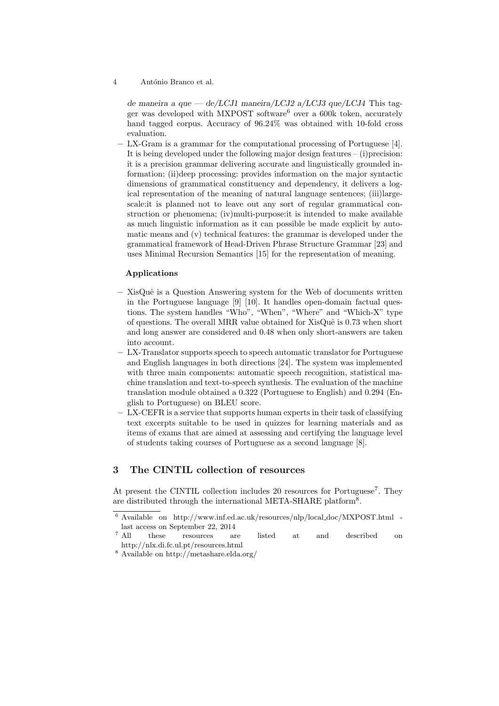#### 4 António Branco et al.

de maneira a que — de/LCJ1 maneira/LCJ2 a/LCJ3 que/LCJ4 This tagger was developed with MXPOST software<sup>6</sup> over a  $600k$  token, accurately hand tagged corpus. Accuracy of 96.24% was obtained with 10-fold cross evaluation.

– LX-Gram is a grammar for the computational processing of Portuguese [4]. It is being developed under the following major design features – (i)precision: it is a precision grammar delivering accurate and linguistically grounded information; (ii)deep processing: provides information on the major syntactic dimensions of grammatical constituency and dependency, it delivers a logical representation of the meaning of natural language sentences; (iii)largescale:it is planned not to leave out any sort of regular grammatical construction or phenomena; (iv)multi-purpose:it is intended to make available as much linguistic information as it can possible be made explicit by automatic means and (v) technical features: the grammar is developed under the grammatical framework of Head-Driven Phrase Structure Grammar [23] and uses Minimal Recursion Semantics [15] for the representation of meaning.

#### Applications

- $-$  XisQuê is a Question Answering system for the Web of documents written in the Portuguese language [9] [10]. It handles open-domain factual questions. The system handles "Who", "When", "Where" and "Which-X" type of questions. The overall MRR value obtained for  $XisQuê$  is 0.73 when short and long answer are considered and 0.48 when only short-answers are taken into account.
- LX-Translator supports speech to speech automatic translator for Portuguese and English languages in both directions [24]. The system was implemented with three main components: automatic speech recognition, statistical machine translation and text-to-speech synthesis. The evaluation of the machine translation module obtained a 0.322 (Portuguese to English) and 0.294 (English to Portuguese) on BLEU score.
- LX-CEFR is a service that supports human experts in their task of classifying text excerpts suitable to be used in quizzes for learning materials and as items of exams that are aimed at assessing and certifying the language level of students taking courses of Portuguese as a second language [8].

## 3 The CINTIL collection of resources

At present the CINTIL collection includes 20 resources for Portuguese<sup>7</sup>. They are distributed through the international META-SHARE platform<sup>8</sup>.

 $^6$  Available on http://www.inf.ed.ac.uk/resources/nlp/local\_doc/MXPOST.html -

<sup>%</sup> last access on September 22, 2014<br> $^7$   $\,$  All  $\,$   $\,$  these  $\,$   $\,$  resources  $\,$   $\,$  and  $\,$ these resources are listed at and described on http://nlx.di.fc.ul.pt/resources.html

 $^8$  Available on http://metashare.elda.org/  $\,$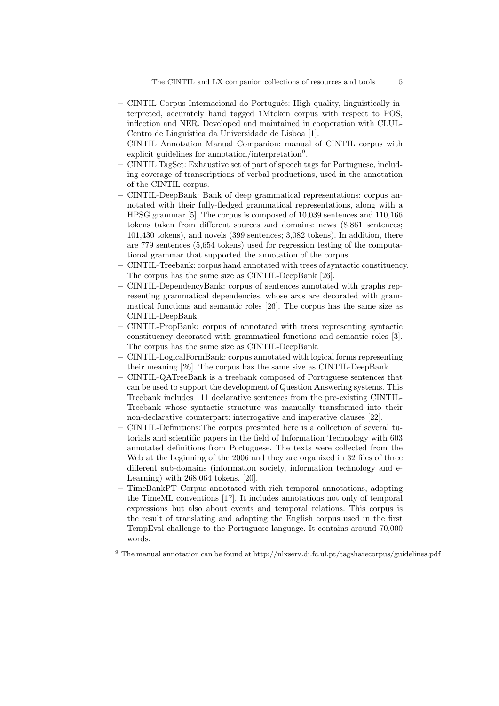- CINTIL-Corpus Internacional do Portuguˆes: High quality, linguistically interpreted, accurately hand tagged 1Mtoken corpus with respect to POS, inflection and NER. Developed and maintained in cooperation with CLUL-Centro de Linguística da Universidade de Lisboa [1].
- CINTIL Annotation Manual Companion: manual of CINTIL corpus with explicit guidelines for annotation/interpretation<sup>9</sup>.
- CINTIL TagSet: Exhaustive set of part of speech tags for Portuguese, including coverage of transcriptions of verbal productions, used in the annotation of the CINTIL corpus.
- CINTIL-DeepBank: Bank of deep grammatical representations: corpus annotated with their fully-fledged grammatical representations, along with a HPSG grammar [5]. The corpus is composed of 10,039 sentences and 110,166 tokens taken from different sources and domains: news (8,861 sentences; 101,430 tokens), and novels (399 sentences; 3,082 tokens). In addition, there are 779 sentences (5,654 tokens) used for regression testing of the computational grammar that supported the annotation of the corpus.
- CINTIL-Treebank: corpus hand annotated with trees of syntactic constituency. The corpus has the same size as CINTIL-DeepBank [26].
- CINTIL-DependencyBank: corpus of sentences annotated with graphs representing grammatical dependencies, whose arcs are decorated with grammatical functions and semantic roles [26]. The corpus has the same size as CINTIL-DeepBank.
- CINTIL-PropBank: corpus of annotated with trees representing syntactic constituency decorated with grammatical functions and semantic roles [3]. The corpus has the same size as CINTIL-DeepBank.
- CINTIL-LogicalFormBank: corpus annotated with logical forms representing their meaning [26]. The corpus has the same size as CINTIL-DeepBank.
- CINTIL-QATreeBank is a treebank composed of Portuguese sentences that can be used to support the development of Question Answering systems. This Treebank includes 111 declarative sentences from the pre-existing CINTIL-Treebank whose syntactic structure was manually transformed into their non-declarative counterpart: interrogative and imperative clauses [22].
- CINTIL-Definitions:The corpus presented here is a collection of several tutorials and scientific papers in the field of Information Technology with 603 annotated definitions from Portuguese. The texts were collected from the Web at the beginning of the 2006 and they are organized in 32 files of three different sub-domains (information society, information technology and e-Learning) with 268,064 tokens. [20].
- TimeBankPT Corpus annotated with rich temporal annotations, adopting the TimeML conventions [17]. It includes annotations not only of temporal expressions but also about events and temporal relations. This corpus is the result of translating and adapting the English corpus used in the first TempEval challenge to the Portuguese language. It contains around 70,000 words.

 $9$  The manual annotation can be found at http://nlxserv.di.fc.ul.pt/tagsharecorpus/guidelines.pdf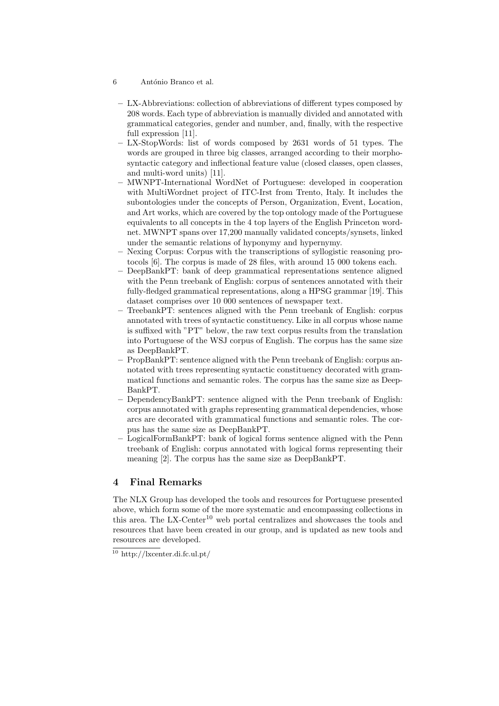- 6 António Branco et al.
	- LX-Abbreviations: collection of abbreviations of different types composed by 208 words. Each type of abbreviation is manually divided and annotated with grammatical categories, gender and number, and, finally, with the respective full expression [11].
	- LX-StopWords: list of words composed by 2631 words of 51 types. The words are grouped in three big classes, arranged according to their morphosyntactic category and inflectional feature value (closed classes, open classes, and multi-word units) [11].
	- MWNPT-International WordNet of Portuguese: developed in cooperation with MultiWordnet project of ITC-Irst from Trento, Italy. It includes the subontologies under the concepts of Person, Organization, Event, Location, and Art works, which are covered by the top ontology made of the Portuguese equivalents to all concepts in the 4 top layers of the English Princeton wordnet. MWNPT spans over 17,200 manually validated concepts/synsets, linked under the semantic relations of hyponymy and hypernymy.
	- Nexing Corpus: Corpus with the transcriptions of syllogistic reasoning protocols [6]. The corpus is made of 28 files, with around 15 000 tokens each.
	- DeepBankPT: bank of deep grammatical representations sentence aligned with the Penn treebank of English: corpus of sentences annotated with their fully-fledged grammatical representations, along a HPSG grammar [19]. This dataset comprises over 10 000 sentences of newspaper text.
	- TreebankPT: sentences aligned with the Penn treebank of English: corpus annotated with trees of syntactic constituency. Like in all corpus whose name is suffixed with "PT" below, the raw text corpus results from the translation into Portuguese of the WSJ corpus of English. The corpus has the same size as DeepBankPT.
	- PropBankPT: sentence aligned with the Penn treebank of English: corpus annotated with trees representing syntactic constituency decorated with grammatical functions and semantic roles. The corpus has the same size as Deep-BankPT.
- DependencyBankPT: sentence aligned with the Penn treebank of English: corpus annotated with graphs representing grammatical dependencies, whose arcs are decorated with grammatical functions and semantic roles. The corpus has the same size as DeepBankPT.
- LogicalFormBankPT: bank of logical forms sentence aligned with the Penn treebank of English: corpus annotated with logical forms representing their meaning [2]. The corpus has the same size as DeepBankPT.

## 4 Final Remarks

The NLX Group has developed the tools and resources for Portuguese presented above, which form some of the more systematic and encompassing collections in this area. The LX-Center<sup>10</sup> web portal centralizes and showcases the tools and resources that have been created in our group, and is updated as new tools and resources are developed.

 $^{10}$ http://lxcenter.di.fc.ul.pt/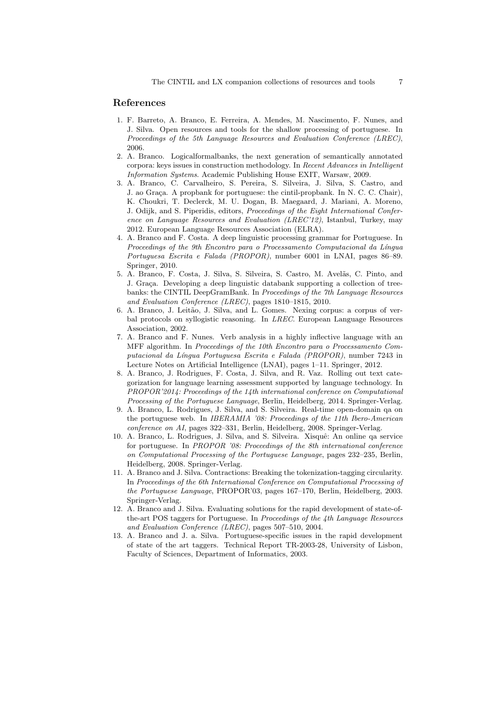#### References

- 1. F. Barreto, A. Branco, E. Ferreira, A. Mendes, M. Nascimento, F. Nunes, and J. Silva. Open resources and tools for the shallow processing of portuguese. In Proceedings of the 5th Language Resources and Evaluation Conference (LREC), 2006.
- 2. A. Branco. Logicalformalbanks, the next generation of semantically annotated corpora: keys issues in construction methodology. In Recent Advances in Intelligent Information Systems. Academic Publishing House EXIT, Warsaw, 2009.
- 3. A. Branco, C. Carvalheiro, S. Pereira, S. Silveira, J. Silva, S. Castro, and J. ao Graça. A propbank for portuguese: the cintil-propbank. In N. C. C. Chair), K. Choukri, T. Declerck, M. U. Dogan, B. Maegaard, J. Mariani, A. Moreno, J. Odijk, and S. Piperidis, editors, Proceedings of the Eight International Conference on Language Resources and Evaluation (LREC'12), Istanbul, Turkey, may 2012. European Language Resources Association (ELRA).
- 4. A. Branco and F. Costa. A deep linguistic processing grammar for Portuguese. In Proceedings of the 9th Encontro para o Processamento Computacional da Língua Portuguesa Escrita e Falada (PROPOR), number 6001 in LNAI, pages 86–89. Springer, 2010.
- 5. A. Branco, F. Costa, J. Silva, S. Silveira, S. Castro, M. Avelãs, C. Pinto, and J. Graça. Developing a deep linguistic databank supporting a collection of treebanks: the CINTIL DeepGramBank. In Proceedings of the 7th Language Resources and Evaluation Conference (LREC), pages 1810–1815, 2010.
- 6. A. Branco, J. Leitão, J. Silva, and L. Gomes. Nexing corpus: a corpus of verbal protocols on syllogistic reasoning. In LREC. European Language Resources Association, 2002.
- 7. A. Branco and F. Nunes. Verb analysis in a highly inflective language with an MFF algorithm. In Proceedings of the 10th Encontro para o Processamento Computacional da L´ıngua Portuguesa Escrita e Falada (PROPOR), number 7243 in Lecture Notes on Artificial Intelligence (LNAI), pages 1–11. Springer, 2012.
- 8. A. Branco, J. Rodrigues, F. Costa, J. Silva, and R. Vaz. Rolling out text categorization for language learning assessment supported by language technology. In PROPOR'2014: Proceedings of the 14th international conference on Computational Processing of the Portuguese Language, Berlin, Heidelberg, 2014. Springer-Verlag.
- 9. A. Branco, L. Rodrigues, J. Silva, and S. Silveira. Real-time open-domain qa on the portuguese web. In *IBERAMIA '08: Proceedings of the 11th Ibero-American* conference on AI, pages 322–331, Berlin, Heidelberg, 2008. Springer-Verlag.
- 10. A. Branco, L. Rodrigues, J. Silva, and S. Silveira. Xisquê: An online qa service for portuguese. In PROPOR '08: Proceedings of the 8th international conference on Computational Processing of the Portuguese Language, pages 232–235, Berlin, Heidelberg, 2008. Springer-Verlag.
- 11. A. Branco and J. Silva. Contractions: Breaking the tokenization-tagging circularity. In Proceedings of the 6th International Conference on Computational Processing of the Portuguese Language, PROPOR'03, pages 167–170, Berlin, Heidelberg, 2003. Springer-Verlag.
- 12. A. Branco and J. Silva. Evaluating solutions for the rapid development of state-ofthe-art POS taggers for Portuguese. In Proceedings of the 4th Language Resources and Evaluation Conference (LREC), pages 507–510, 2004.
- 13. A. Branco and J. a. Silva. Portuguese-specific issues in the rapid development of state of the art taggers. Technical Report TR-2003-28, University of Lisbon, Faculty of Sciences, Department of Informatics, 2003.